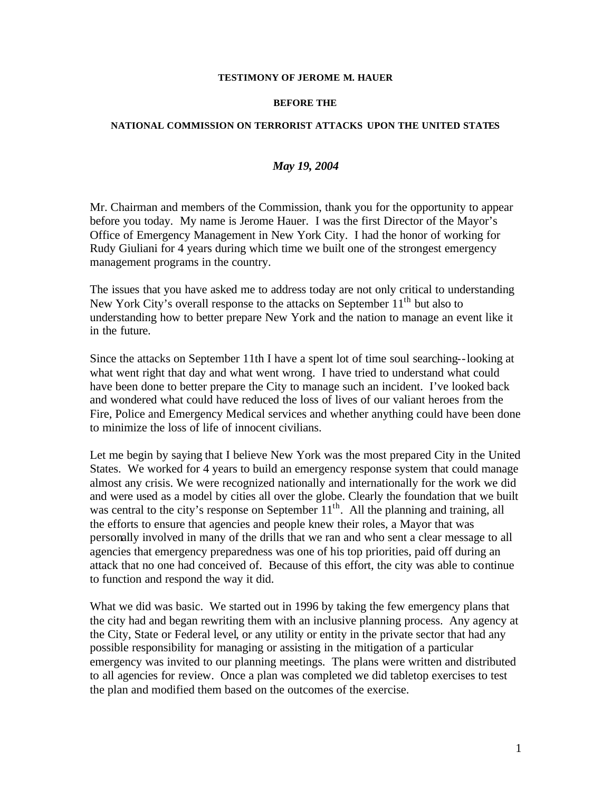## **TESTIMONY OF JEROME M. HAUER**

## **BEFORE THE**

## **NATIONAL COMMISSION ON TERRORIST ATTACKS UPON THE UNITED STATES**

## *May 19, 2004*

Mr. Chairman and members of the Commission, thank you for the opportunity to appear before you today. My name is Jerome Hauer. I was the first Director of the Mayor's Office of Emergency Management in New York City. I had the honor of working for Rudy Giuliani for 4 years during which time we built one of the strongest emergency management programs in the country.

The issues that you have asked me to address today are not only critical to understanding New York City's overall response to the attacks on September  $11<sup>th</sup>$  but also to understanding how to better prepare New York and the nation to manage an event like it in the future.

Since the attacks on September 11th I have a spent lot of time soul searching--looking at what went right that day and what went wrong. I have tried to understand what could have been done to better prepare the City to manage such an incident. I've looked back and wondered what could have reduced the loss of lives of our valiant heroes from the Fire, Police and Emergency Medical services and whether anything could have been done to minimize the loss of life of innocent civilians.

Let me begin by saying that I believe New York was the most prepared City in the United States. We worked for 4 years to build an emergency response system that could manage almost any crisis. We were recognized nationally and internationally for the work we did and were used as a model by cities all over the globe. Clearly the foundation that we built was central to the city's response on September  $11<sup>th</sup>$ . All the planning and training, all the efforts to ensure that agencies and people knew their roles, a Mayor that was personally involved in many of the drills that we ran and who sent a clear message to all agencies that emergency preparedness was one of his top priorities, paid off during an attack that no one had conceived of. Because of this effort, the city was able to continue to function and respond the way it did.

What we did was basic. We started out in 1996 by taking the few emergency plans that the city had and began rewriting them with an inclusive planning process. Any agency at the City, State or Federal level, or any utility or entity in the private sector that had any possible responsibility for managing or assisting in the mitigation of a particular emergency was invited to our planning meetings. The plans were written and distributed to all agencies for review. Once a plan was completed we did tabletop exercises to test the plan and modified them based on the outcomes of the exercise.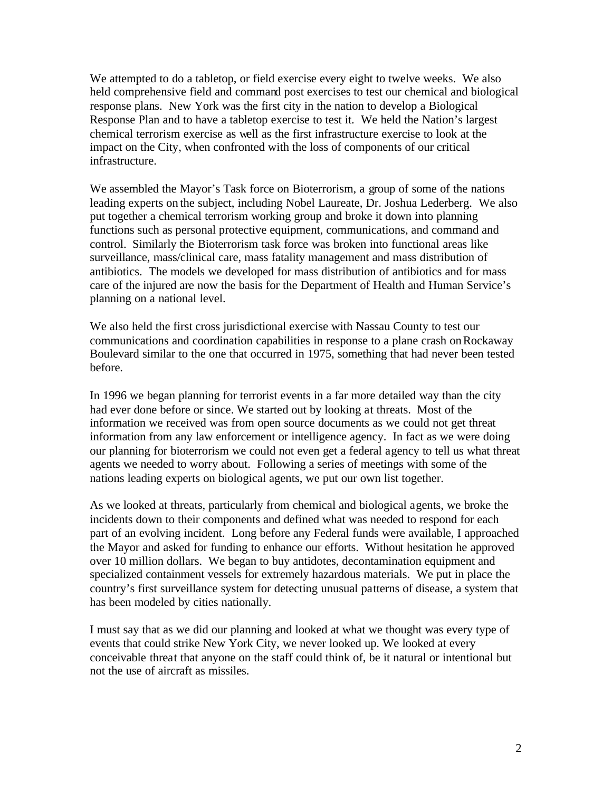We attempted to do a tabletop, or field exercise every eight to twelve weeks. We also held comprehensive field and command post exercises to test our chemical and biological response plans. New York was the first city in the nation to develop a Biological Response Plan and to have a tabletop exercise to test it. We held the Nation's largest chemical terrorism exercise as well as the first infrastructure exercise to look at the impact on the City, when confronted with the loss of components of our critical infrastructure.

We assembled the Mayor's Task force on Bioterrorism, a group of some of the nations leading experts on the subject, including Nobel Laureate, Dr. Joshua Lederberg. We also put together a chemical terrorism working group and broke it down into planning functions such as personal protective equipment, communications, and command and control. Similarly the Bioterrorism task force was broken into functional areas like surveillance, mass/clinical care, mass fatality management and mass distribution of antibiotics. The models we developed for mass distribution of antibiotics and for mass care of the injured are now the basis for the Department of Health and Human Service's planning on a national level.

We also held the first cross jurisdictional exercise with Nassau County to test our communications and coordination capabilities in response to a plane crash on Rockaway Boulevard similar to the one that occurred in 1975, something that had never been tested before.

In 1996 we began planning for terrorist events in a far more detailed way than the city had ever done before or since. We started out by looking at threats. Most of the information we received was from open source documents as we could not get threat information from any law enforcement or intelligence agency. In fact as we were doing our planning for bioterrorism we could not even get a federal agency to tell us what threat agents we needed to worry about. Following a series of meetings with some of the nations leading experts on biological agents, we put our own list together.

As we looked at threats, particularly from chemical and biological agents, we broke the incidents down to their components and defined what was needed to respond for each part of an evolving incident. Long before any Federal funds were available, I approached the Mayor and asked for funding to enhance our efforts. Without hesitation he approved over 10 million dollars. We began to buy antidotes, decontamination equipment and specialized containment vessels for extremely hazardous materials. We put in place the country's first surveillance system for detecting unusual patterns of disease, a system that has been modeled by cities nationally.

I must say that as we did our planning and looked at what we thought was every type of events that could strike New York City, we never looked up. We looked at every conceivable threat that anyone on the staff could think of, be it natural or intentional but not the use of aircraft as missiles.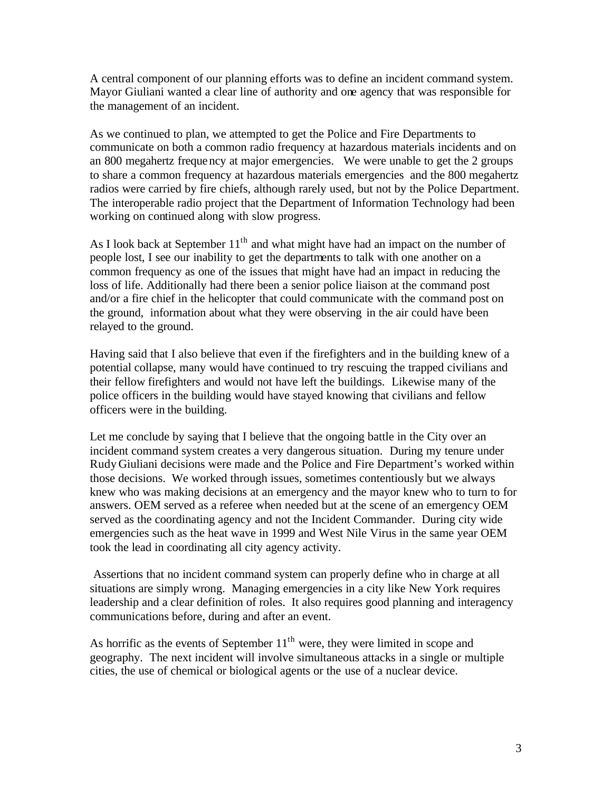A central component of our planning efforts was to define an incident command system. Mayor Giuliani wanted a clear line of authority and one agency that was responsible for the management of an incident.

As we continued to plan, we attempted to get the Police and Fire Departments to communicate on both a common radio frequency at hazardous materials incidents and on an 800 megahertz frequency at major emergencies. We were unable to get the 2 groups to share a common frequency at hazardous materials emergencies and the 800 megahertz radios were carried by fire chiefs, although rarely used, but not by the Police Department. The interoperable radio project that the Department of Information Technology had been working on continued along with slow progress.

As I look back at September  $11<sup>th</sup>$  and what might have had an impact on the number of people lost, I see our inability to get the departments to talk with one another on a common frequency as one of the issues that might have had an impact in reducing the loss of life. Additionally had there been a senior police liaison at the command post and/or a fire chief in the helicopter that could communicate with the command post on the ground, information about what they were observing in the air could have been relayed to the ground.

Having said that I also believe that even if the firefighters and in the building knew of a potential collapse, many would have continued to try rescuing the trapped civilians and their fellow firefighters and would not have left the buildings. Likewise many of the police officers in the building would have stayed knowing that civilians and fellow officers were in the building.

Let me conclude by saying that I believe that the ongoing battle in the City over an incident command system creates a very dangerous situation. During my tenure under Rudy Giuliani decisions were made and the Police and Fire Department's worked within those decisions. We worked through issues, sometimes contentiously but we always knew who was making decisions at an emergency and the mayor knew who to turn to for answers. OEM served as a referee when needed but at the scene of an emergency OEM served as the coordinating agency and not the Incident Commander. During city wide emergencies such as the heat wave in 1999 and West Nile Virus in the same year OEM took the lead in coordinating all city agency activity.

 Assertions that no incident command system can properly define who in charge at all situations are simply wrong. Managing emergencies in a city like New York requires leadership and a clear definition of roles. It also requires good planning and interagency communications before, during and after an event.

As horrific as the events of September  $11<sup>th</sup>$  were, they were limited in scope and geography. The next incident will involve simultaneous attacks in a single or multiple cities, the use of chemical or biological agents or the use of a nuclear device.